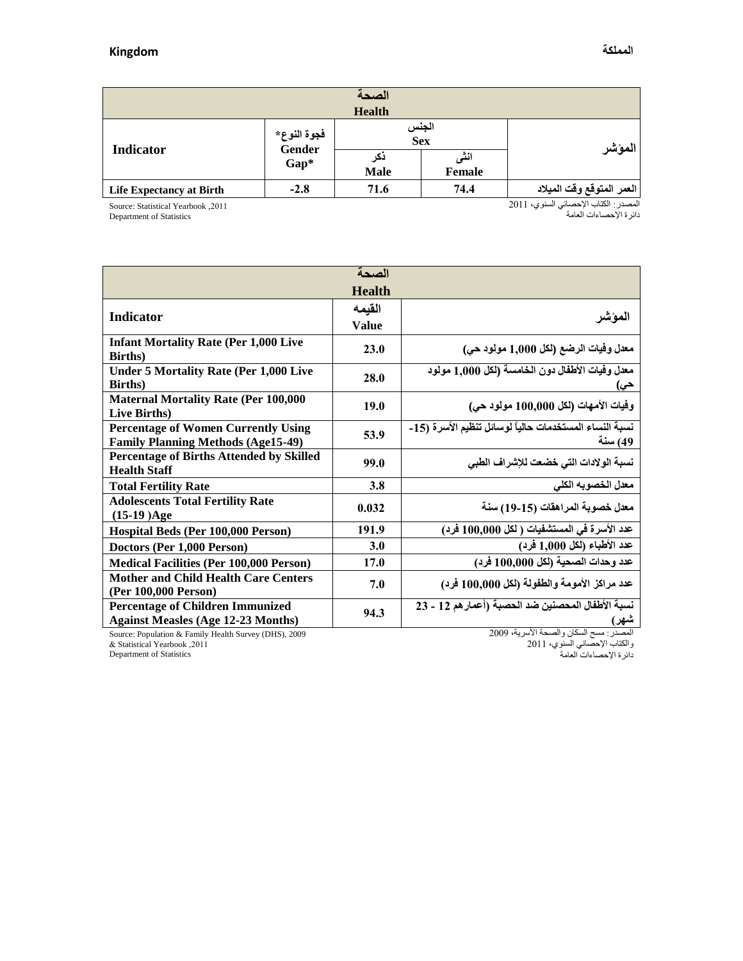| الصحة                           |                                        |                    |                |                           |  |  |  |  |
|---------------------------------|----------------------------------------|--------------------|----------------|---------------------------|--|--|--|--|
| <b>Health</b>                   |                                        |                    |                |                           |  |  |  |  |
| <b>Indicator</b>                | فجوة النوع*<br><b>Gender</b><br>$Gap*$ | الجنس<br>Sex       |                | المؤشر                    |  |  |  |  |
|                                 |                                        | دكر<br><b>Male</b> | انٹی<br>Female |                           |  |  |  |  |
| <b>Life Expectancy at Birth</b> | $-2.8$                                 | 71.6               | 74.4           | العمر المتوقع وقت الميلاد |  |  |  |  |

Source: Statistical Yearbook ,2011

Department of Statistics

المصدر : الكتاب الإحصائي السنوي، 2011 دائرة اإلحصاءات العامة

| الصحة                                                                                   |               |                                                                   |  |  |  |  |  |
|-----------------------------------------------------------------------------------------|---------------|-------------------------------------------------------------------|--|--|--|--|--|
|                                                                                         | <b>Health</b> |                                                                   |  |  |  |  |  |
| <b>Indicator</b>                                                                        | القيمه        |                                                                   |  |  |  |  |  |
|                                                                                         | <b>Value</b>  | المؤشر                                                            |  |  |  |  |  |
| <b>Infant Mortality Rate (Per 1,000 Live</b><br><b>Births</b> )                         | 23.0          | معدل وفيات الرضع (لكل 1,000 مولود حي)                             |  |  |  |  |  |
| <b>Under 5 Mortality Rate (Per 1,000 Live</b><br><b>Births</b> )                        | 28.0          | معدل وفيات الأطفال دون الخامسة (لكل 1,000 مولود<br>حي)            |  |  |  |  |  |
| <b>Maternal Mortality Rate (Per 100,000</b><br>Live Births)                             | 19.0          | وفيات الأمهات (لكل 100,000 مولود حي)                              |  |  |  |  |  |
| <b>Percentage of Women Currently Using</b><br><b>Family Planning Methods (Age15-49)</b> | 53.9          | نسبة النساء المستخدمات حالياً لوسائل تنظيم الأسرة (15-<br>49) سنة |  |  |  |  |  |
| Percentage of Births Attended by Skilled<br><b>Health Staff</b>                         | 99.0          | نسبة الولادات التي خضعت للإشراف الطبي                             |  |  |  |  |  |
| <b>Total Fertility Rate</b>                                                             | 3.8           | معدل الخصوبه الكلى                                                |  |  |  |  |  |
| <b>Adolescents Total Fertility Rate</b><br>$(15-19)Age$                                 | 0.032         | معدل خصوبة المراهقات (15-19) سنة                                  |  |  |  |  |  |
| Hospital Beds (Per 100,000 Person)                                                      | 191.9         | عدد الأسرة في المستشفيات ( لكل 100,000 فرد)                       |  |  |  |  |  |
| Doctors (Per 1,000 Person)                                                              | 3.0           | عدد الأطباء (لكل 1,000 فرد)                                       |  |  |  |  |  |
| <b>Medical Facilities (Per 100,000 Person)</b>                                          | 17.0          | عدد وحدات الصحية (لكل 100,000 فرد)                                |  |  |  |  |  |
| <b>Mother and Child Health Care Centers</b><br>(Per 100,000 Person)                     | 7.0           | عدد مراكز الأمومة والطفولة (لكل 100,000 فرد)                      |  |  |  |  |  |
| <b>Percentage of Children Immunized</b><br><b>Against Measles (Age 12-23 Months)</b>    | 94.3          | نسبة الأطفال المحصنين ضد الحصبة (أعمار هم 12 - 23<br>شهر)         |  |  |  |  |  |

Source: Population & Family Health Survey (DHS), 2009 & Statistical Yearbook ,3122

المصدر : مسح السكان والصحة الأسرية، 2009

والكتاب الإحصائي السنوي، 2011

دائرة اإلحصاءات العامة

Department of Statistics